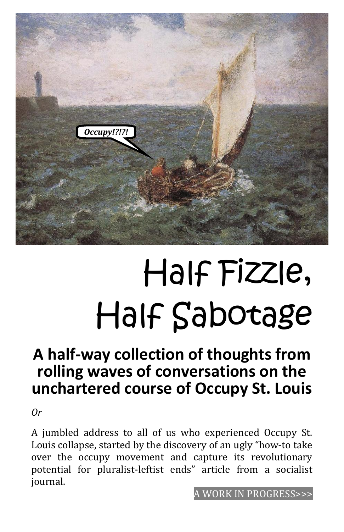

# Half Fizzle, Half Sabotage

# **A half-way collection of thoughts from rolling waves of conversations on the unchartered course of Occupy St. Louis**

*Or*

A jumbled address to all of us who experienced Occupy St. Louis collapse, started by the discovery of an ugly "how-to take over the occupy movement and capture its revolutionary potential for pluralist-leftist ends" article from a socialist journal.

WORK IN PROGRESS>>>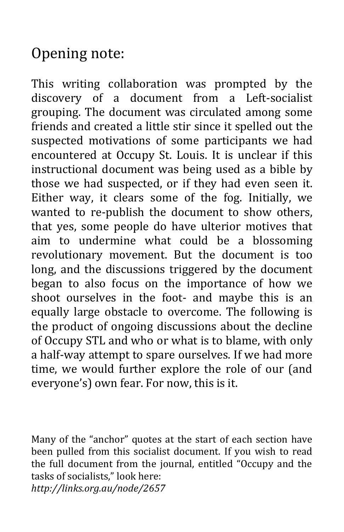# Opening note:

This writing collaboration was prompted by the discovery of a document from a Left-socialist grouping. The document was circulated among some friends and created a little stir since it spelled out the suspected motivations of some participants we had encountered at Occupy St. Louis. It is unclear if this instructional document was being used as a bible by those we had suspected, or if they had even seen it. Either way, it clears some of the fog. Initially, we wanted to re-publish the document to show others, that yes, some people do have ulterior motives that aim to undermine what could be a blossoming revolutionary movement. But the document is too long, and the discussions triggered by the document began to also focus on the importance of how we shoot ourselves in the foot- and maybe this is an equally large obstacle to overcome. The following is the product of ongoing discussions about the decline of Occupy STL and who or what is to blame, with only a half-way attempt to spare ourselves. If we had more time, we would further explore the role of our (and everyone's) own fear. For now, this is it.

Many of the "anchor" quotes at the start of each section have been pulled from this socialist document. If you wish to read the full document from the journal, entitled "Occupy and the tasks of socialists," look here: *http://links.org.au/node/2657*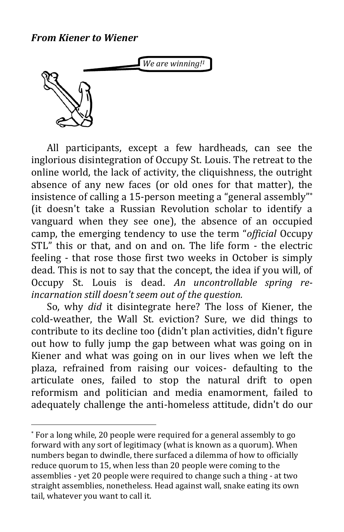#### *From Kiener to Wiener*

*We are winning!1*



 $\overline{a}$ 

All participants, except a few hardheads, can see the inglorious disintegration of Occupy St. Louis. The retreat to the online world, the lack of activity, the cliquishness, the outright absence of any new faces (or old ones for that matter), the insistence of calling a 15-person meeting a "general assembly" \* (it doesn't take a Russian Revolution scholar to identify a vanguard when they see one), the absence of an occupied camp, the emerging tendency to use the term "*official* Occupy STL" this or that, and on and on. The life form - the electric feeling - that rose those first two weeks in October is simply dead. This is not to say that the concept, the idea if you will, of Occupy St. Louis is dead. *An uncontrollable spring reincarnation still doesn't seem out of the question.*

So, why *did* it disintegrate here? The loss of Kiener, the cold-weather, the Wall St. eviction? Sure, we did things to contribute to its decline too (didn't plan activities, didn't figure out how to fully jump the gap between what was going on in Kiener and what was going on in our lives when we left the plaza, refrained from raising our voices- defaulting to the articulate ones, failed to stop the natural drift to open reformism and politician and media enamorment, failed to adequately challenge the anti-homeless attitude, didn't do our

<sup>\*</sup> For a long while, 20 people were required for a general assembly to go forward with any sort of legitimacy (what is known as a quorum). When numbers began to dwindle, there surfaced a dilemma of how to officially reduce quorum to 15, when less than 20 people were coming to the assemblies - yet 20 people were required to change such a thing - at two straight assemblies, nonetheless. Head against wall, snake eating its own tail, whatever you want to call it.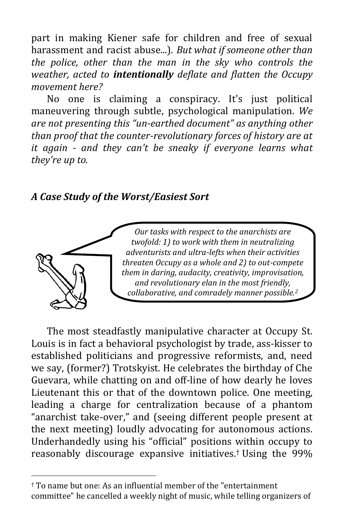part in making Kiener safe for children and free of sexual harassment and racist abuse...). *But what if someone other than the police, other than the man in the sky who controls the weather, acted to intentionally deflate and flatten the Occupy movement here?*

No one is claiming a conspiracy. It's just political maneuvering through subtle, psychological manipulation. *We are not presenting this "un-earthed document" as anything other than proof that the counter-revolutionary forces of history are at it again - and they can't be sneaky if everyone learns what they're up to.*

# *A Case Study of the Worst/Easiest Sort*



 $\overline{a}$ 

*Our tasks with respect to the anarchists are twofold: 1) to work with them in neutralizing adventurists and ultra-lefts when their activities threaten Occupy as a whole and 2) to out-compete them in daring, audacity, creativity, improvisation, and revolutionary elan in the most friendly, collaborative, and comradely manner possible.<sup>2</sup>*

The most steadfastly manipulative character at Occupy St. Louis is in fact a behavioral psychologist by trade, ass-kisser to established politicians and progressive reformists, and, need we say, (former?) Trotskyist. He celebrates the birthday of Che Guevara, while chatting on and off-line of how dearly he loves Lieutenant this or that of the downtown police. One meeting, leading a charge for centralization because of a phantom "anarchist take-over," and (seeing different people present at the next meeting) loudly advocating for autonomous actions. Underhandedly using his "official" positions within occupy to reasonably discourage expansive initiatives. † Using the 99%

<sup>†</sup> To name but one: As an influential member of the "entertainment committee" he cancelled a weekly night of music, while telling organizers of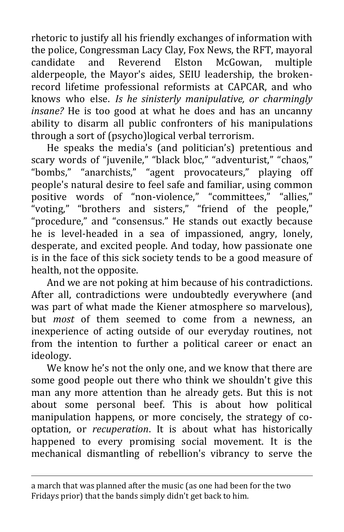rhetoric to justify all his friendly exchanges of information with the police, Congressman Lacy Clay, Fox News, the RFT, mayoral candidate and Reverend Elston McGowan, multiple alderpeople, the Mayor's aides, SEIU leadership, the brokenrecord lifetime professional reformists at CAPCAR, and who knows who else. *Is he sinisterly manipulative, or charmingly insane?* He is too good at what he does and has an uncanny ability to disarm all public confronters of his manipulations through a sort of (psycho)logical verbal terrorism.

He speaks the media's (and politician's) pretentious and scary words of "juvenile," "black bloc," "adventurist," "chaos," "bombs," "anarchists," "agent provocateurs," playing off people's natural desire to feel safe and familiar, using common positive words of "non-violence," "committees," "allies," "voting," "brothers and sisters," "friend of the people," "procedure," and "consensus." He stands out exactly because he is level-headed in a sea of impassioned, angry, lonely, desperate, and excited people. And today, how passionate one is in the face of this sick society tends to be a good measure of health, not the opposite.

And we are not poking at him because of his contradictions. After all, contradictions were undoubtedly everywhere (and was part of what made the Kiener atmosphere so marvelous), but *most* of them seemed to come from a newness, an inexperience of acting outside of our everyday routines, not from the intention to further a political career or enact an ideology.

We know he's not the only one, and we know that there are some good people out there who think we shouldn't give this man any more attention than he already gets. But this is not about some personal beef. This is about how political manipulation happens, or more concisely, the strategy of cooptation, or *recuperation*. It is about what has historically happened to every promising social movement. It is the mechanical dismantling of rebellion's vibrancy to serve the

 $\overline{a}$ 

a march that was planned after the music (as one had been for the two Fridays prior) that the bands simply didn't get back to him.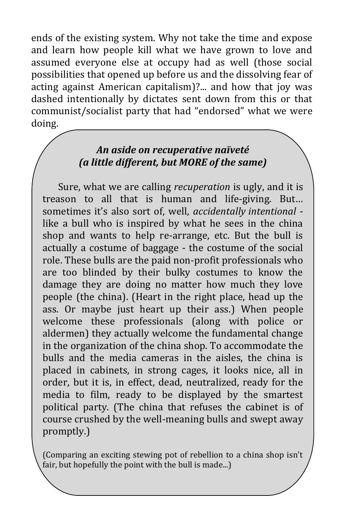ends of the existing system. Why not take the time and expose and learn how people kill what we have grown to love and assumed everyone else at occupy had as well (those social possibilities that opened up before us and the dissolving fear of acting against American capitalism)?... and how that joy was dashed intentionally by dictates sent down from this or that communist/socialist party that had "endorsed" what we were doing.

#### *An aside on recuperative naïveté (a little different, but MORE of the same)*

Sure, what we are calling *recuperation* is ugly, and it is treason to all that is human and life-giving. But… sometimes it's also sort of, well, *accidentally intentional* like a bull who is inspired by what he sees in the china shop and wants to help re-arrange, etc. But the bull is actually a costume of baggage - the costume of the social role. These bulls are the paid non-profit professionals who are too blinded by their bulky costumes to know the damage they are doing no matter how much they love people (the china). (Heart in the right place, head up the ass. Or maybe just heart up their ass.) When people welcome these professionals (along with police or aldermen) they actually welcome the fundamental change in the organization of the china shop. To accommodate the bulls and the media cameras in the aisles, the china is placed in cabinets, in strong cages, it looks nice, all in order, but it is, in effect, dead, neutralized, ready for the media to film, ready to be displayed by the smartest political party. (The china that refuses the cabinet is of course crushed by the well-meaning bulls and swept away promptly.)

(Comparing an exciting stewing pot of rebellion to a china shop isn't fair, but hopefully the point with the bull is made...)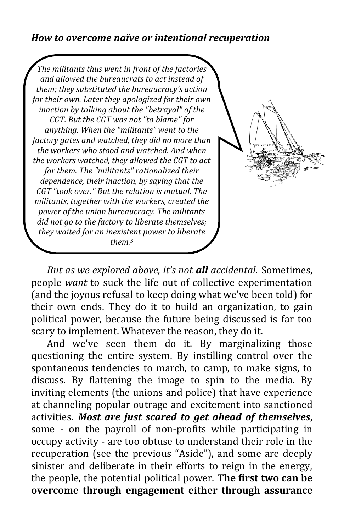#### *How to overcome naïve or intentional recuperation*

*The militants thus went in front of the factories and allowed the bureaucrats to act instead of them; they substituted the bureaucracy's action for their own. Later they apologized for their own inaction by talking about the "betrayal" of the CGT. But the CGT was not "to blame" for anything. When the "militants" went to the factory gates and watched, they did no more than the workers who stood and watched. And when the workers watched, they allowed the CGT to act for them. The "militants" rationalized their dependence, their inaction, by saying that the CGT "took over." But the relation is mutual. The militants, together with the workers, created the power of the union bureaucracy. The militants did not go to the factory to liberate themselves; they waited for an inexistent power to liberate them.3*

*But as we explored above, it's not all accidental.* Sometimes, people *want* to suck the life out of collective experimentation (and the joyous refusal to keep doing what we've been told) for their own ends. They do it to build an organization, to gain political power, because the future being discussed is far too scary to implement. Whatever the reason, they do it.

And we've seen them do it. By marginalizing those questioning the entire system. By instilling control over the spontaneous tendencies to march, to camp, to make signs, to discuss. By flattening the image to spin to the media. By inviting elements (the unions and police) that have experience at channeling popular outrage and excitement into sanctioned activities. *Most are just scared to get ahead of themselves*, some - on the payroll of non-profits while participating in occupy activity - are too obtuse to understand their role in the recuperation (see the previous "Aside"), and some are deeply sinister and deliberate in their efforts to reign in the energy, the people, the potential political power. **The first two can be overcome through engagement either through assurance**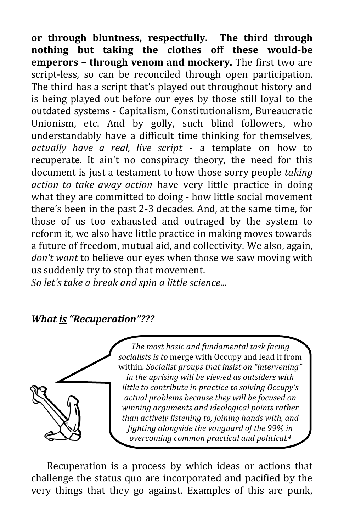**or through bluntness, respectfully. The third through nothing but taking the clothes off these would-be emperors – through venom and mockery.** The first two are script-less, so can be reconciled through open participation. The third has a script that's played out throughout history and is being played out before our eyes by those still loyal to the outdated systems - Capitalism, Constitutionalism, Bureaucratic Unionism, etc. And by golly, such blind followers, who understandably have a difficult time thinking for themselves, *actually have a real, live script* - a template on how to recuperate. It ain't no conspiracy theory, the need for this document is just a testament to how those sorry people *taking action to take away action* have very little practice in doing what they are committed to doing - how little social movement there's been in the past 2-3 decades. And, at the same time, for those of us too exhausted and outraged by the system to reform it, we also have little practice in making moves towards a future of freedom, mutual aid, and collectivity. We also, again, *don't want* to believe our eyes when those we saw moving with us suddenly try to stop that movement.

*So let's take a break and spin a little science...*

# *What is "Recuperation"???*



*The most basic and fundamental task facing socialists is to* merge with Occupy and lead it from within*. Socialist groups that insist on "intervening" in the uprising will be viewed as outsiders with little to contribute in practice to solving Occupy's actual problems because they will be focused on winning arguments and ideological points rather than actively listening to, joining hands with, and fighting alongside the vanguard of the 99% in overcoming common practical and political.4*

Recuperation is a process by which ideas or actions that challenge the status quo are incorporated and pacified by the very things that they go against. Examples of this are punk,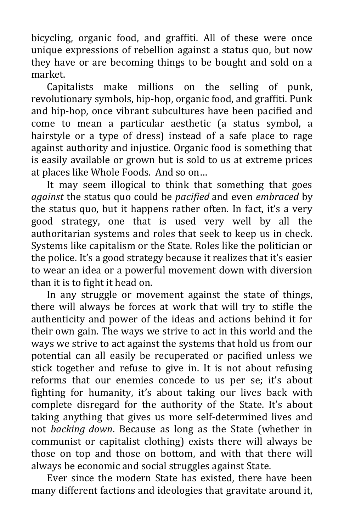bicycling, organic food, and graffiti. All of these were once unique expressions of rebellion against a status quo, but now they have or are becoming things to be bought and sold on a market.

Capitalists make millions on the selling of punk, revolutionary symbols, hip-hop, organic food, and graffiti. Punk and hip-hop, once vibrant subcultures have been pacified and come to mean a particular aesthetic (a status symbol, a hairstyle or a type of dress) instead of a safe place to rage against authority and injustice. Organic food is something that is easily available or grown but is sold to us at extreme prices at places like Whole Foods. And so on…

It may seem illogical to think that something that goes *against* the status quo could be *pacified* and even *embraced* by the status quo, but it happens rather often. In fact, it's a very good strategy, one that is used very well by all the authoritarian systems and roles that seek to keep us in check. Systems like capitalism or the State. Roles like the politician or the police. It's a good strategy because it realizes that it's easier to wear an idea or a powerful movement down with diversion than it is to fight it head on.

In any struggle or movement against the state of things, there will always be forces at work that will try to stifle the authenticity and power of the ideas and actions behind it for their own gain. The ways we strive to act in this world and the ways we strive to act against the systems that hold us from our potential can all easily be recuperated or pacified unless we stick together and refuse to give in. It is not about refusing reforms that our enemies concede to us per se; it's about fighting for humanity, it's about taking our lives back with complete disregard for the authority of the State. It's about taking anything that gives us more self-determined lives and not *backing down*. Because as long as the State (whether in communist or capitalist clothing) exists there will always be those on top and those on bottom, and with that there will always be economic and social struggles against State.

Ever since the modern State has existed, there have been many different factions and ideologies that gravitate around it,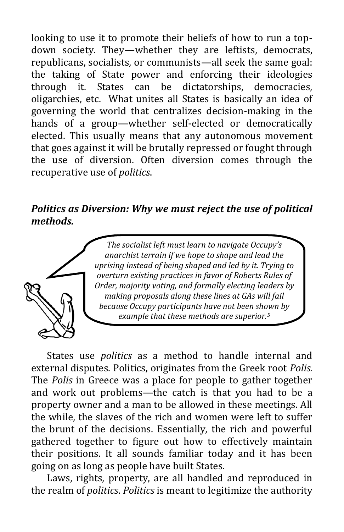looking to use it to promote their beliefs of how to run a topdown society. They—whether they are leftists, democrats, republicans, socialists, or communists—all seek the same goal: the taking of State power and enforcing their ideologies through it. States can be dictatorships, democracies, oligarchies, etc. What unites all States is basically an idea of governing the world that centralizes decision-making in the hands of a group—whether self-elected or democratically elected. This usually means that any autonomous movement that goes against it will be brutally repressed or fought through the use of diversion. Often diversion comes through the recuperative use of *politics*.

# *Politics as Diversion: Why we must reject the use of political methods.*



*The socialist left must learn to navigate Occupy's anarchist terrain if we hope to shape and lead the uprising instead of being shaped and led by it. Trying to overturn existing practices in favor of Roberts Rules of Order, majority voting, and formally electing leaders by making proposals along these lines at GAs will fail because Occupy participants have not been shown by example that these methods are superior.5*

States use *politics* as a method to handle internal and external disputes. Politics, originates from the Greek root *Polis.* The *Polis* in Greece was a place for people to gather together and work out problems—the catch is that you had to be a property owner and a man to be allowed in these meetings. All the while, the slaves of the rich and women were left to suffer the brunt of the decisions. Essentially, the rich and powerful gathered together to figure out how to effectively maintain their positions. It all sounds familiar today and it has been going on as long as people have built States.

Laws, rights, property, are all handled and reproduced in the realm of *politics*. *Politics* is meant to legitimize the authority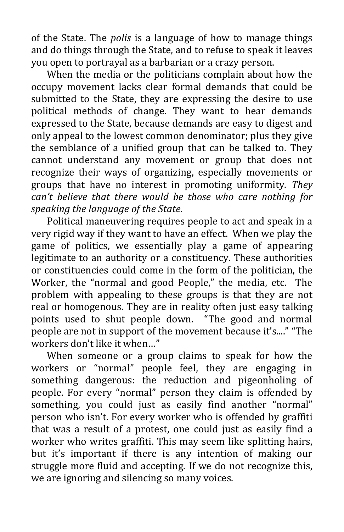of the State. The *polis* is a language of how to manage things and do things through the State, and to refuse to speak it leaves you open to portrayal as a barbarian or a crazy person.

When the media or the politicians complain about how the occupy movement lacks clear formal demands that could be submitted to the State, they are expressing the desire to use political methods of change. They want to hear demands expressed to the State, because demands are easy to digest and only appeal to the lowest common denominator; plus they give the semblance of a unified group that can be talked to. They cannot understand any movement or group that does not recognize their ways of organizing, especially movements or groups that have no interest in promoting uniformity. *They can't believe that there would be those who care nothing for speaking the language of the State.*

Political maneuvering requires people to act and speak in a very rigid way if they want to have an effect. When we play the game of politics, we essentially play a game of appearing legitimate to an authority or a constituency. These authorities or constituencies could come in the form of the politician, the Worker, the "normal and good People," the media, etc. The problem with appealing to these groups is that they are not real or homogenous. They are in reality often just easy talking points used to shut people down. "The good and normal people are not in support of the movement because it's...." "The workers don't like it when…"

When someone or a group claims to speak for how the workers or "normal" people feel, they are engaging in something dangerous: the reduction and pigeonholing of people. For every "normal" person they claim is offended by something, you could just as easily find another "normal" person who isn't. For every worker who is offended by graffiti that was a result of a protest, one could just as easily find a worker who writes graffiti. This may seem like splitting hairs, but it's important if there is any intention of making our struggle more fluid and accepting. If we do not recognize this, we are ignoring and silencing so many voices.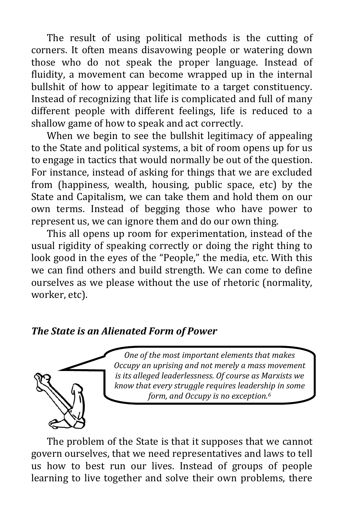The result of using political methods is the cutting of corners. It often means disavowing people or watering down those who do not speak the proper language. Instead of fluidity, a movement can become wrapped up in the internal bullshit of how to appear legitimate to a target constituency. Instead of recognizing that life is complicated and full of many different people with different feelings, life is reduced to a shallow game of how to speak and act correctly.

When we begin to see the bullshit legitimacy of appealing to the State and political systems, a bit of room opens up for us to engage in tactics that would normally be out of the question. For instance, instead of asking for things that we are excluded from (happiness, wealth, housing, public space, etc) by the State and Capitalism, we can take them and hold them on our own terms. Instead of begging those who have power to represent us, we can ignore them and do our own thing.

This all opens up room for experimentation, instead of the usual rigidity of speaking correctly or doing the right thing to look good in the eyes of the "People," the media, etc. With this we can find others and build strength. We can come to define ourselves as we please without the use of rhetoric (normality, worker, etc).

# *The State is an Alienated Form of Power*



*One of the most important elements that makes Occupy an uprising and not merely a mass movement is its alleged leaderlessness. Of course as Marxists we know that every struggle requires leadership in some form, and Occupy is no exception.6*

The problem of the State is that it supposes that we cannot govern ourselves, that we need representatives and laws to tell us how to best run our lives. Instead of groups of people learning to live together and solve their own problems, there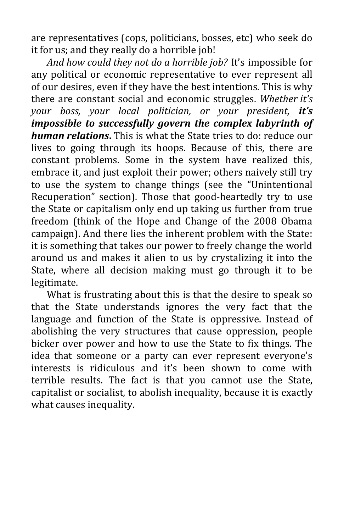are representatives (cops, politicians, bosses, etc) who seek do it for us; and they really do a horrible job!

*And how could they not do a horrible job?* It's impossible for any political or economic representative to ever represent all of our desires, even if they have the best intentions. This is why there are constant social and economic struggles. *Whether it's your boss, your local politician, or your president, it's impossible to successfully govern the complex labyrinth of human relations***.** This is what the State tries to do: reduce our lives to going through its hoops. Because of this, there are constant problems. Some in the system have realized this, embrace it, and just exploit their power; others naively still try to use the system to change things (see the "Unintentional Recuperation" section). Those that good-heartedly try to use the State or capitalism only end up taking us further from true freedom (think of the Hope and Change of the 2008 Obama campaign). And there lies the inherent problem with the State: it is something that takes our power to freely change the world around us and makes it alien to us by crystalizing it into the State, where all decision making must go through it to be legitimate.

What is frustrating about this is that the desire to speak so that the State understands ignores the very fact that the language and function of the State is oppressive. Instead of abolishing the very structures that cause oppression, people bicker over power and how to use the State to fix things. The idea that someone or a party can ever represent everyone's interests is ridiculous and it's been shown to come with terrible results. The fact is that you cannot use the State, capitalist or socialist, to abolish inequality, because it is exactly what causes inequality.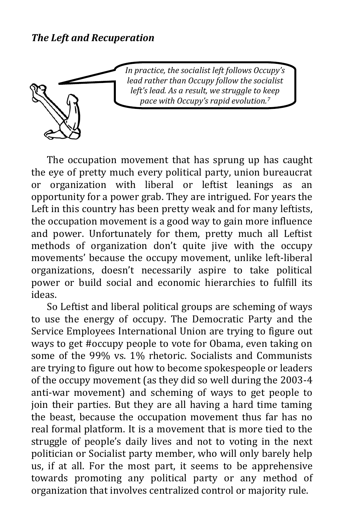

*In practice, the socialist left follows Occupy's lead rather than Occupy follow the socialist left's lead. As a result, we struggle to keep pace with Occupy's rapid evolution.7*

The occupation movement that has sprung up has caught the eye of pretty much every political party, union bureaucrat or organization with liberal or leftist leanings as an opportunity for a power grab. They are intrigued. For years the Left in this country has been pretty weak and for many leftists, the occupation movement is a good way to gain more influence and power. Unfortunately for them, pretty much all Leftist methods of organization don't quite jive with the occupy movements' because the occupy movement, unlike left-liberal organizations, doesn't necessarily aspire to take political power or build social and economic hierarchies to fulfill its ideas.

So Leftist and liberal political groups are scheming of ways to use the energy of occupy. The Democratic Party and the Service Employees International Union are trying to figure out ways to get #occupy people to vote for Obama, even taking on some of the 99% vs. 1% rhetoric. Socialists and Communists are trying to figure out how to become spokespeople or leaders of the occupy movement (as they did so well during the 2003-4 anti-war movement) and scheming of ways to get people to join their parties. But they are all having a hard time taming the beast, because the occupation movement thus far has no real formal platform. It is a movement that is more tied to the struggle of people's daily lives and not to voting in the next politician or Socialist party member, who will only barely help us, if at all. For the most part, it seems to be apprehensive towards promoting any political party or any method of organization that involves centralized control or majority rule.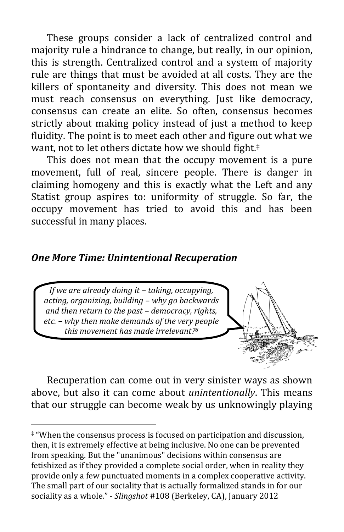These groups consider a lack of centralized control and majority rule a hindrance to change, but really, in our opinion, this is strength. Centralized control and a system of majority rule are things that must be avoided at all costs. They are the killers of spontaneity and diversity. This does not mean we must reach consensus on everything. Just like democracy, consensus can create an elite. So often, consensus becomes strictly about making policy instead of just a method to keep fluidity. The point is to meet each other and figure out what we want, not to let others dictate how we should fight.<sup>‡</sup>

This does not mean that the occupy movement is a pure movement, full of real, sincere people. There is danger in claiming homogeny and this is exactly what the Left and any Statist group aspires to: uniformity of struggle. So far, the occupy movement has tried to avoid this and has been successful in many places.

# *One More Time: Unintentional Recuperation*

*If we are already doing it – taking, occupying, acting, organizing, building – why go backwards and then return to the past – democracy, rights, etc. – why then make demands of the very people this movement has made irrelevant? 8*

 $\overline{a}$ 

Recuperation can come out in very sinister ways as shown above, but also it can come about *unintentionally*. This means that our struggle can become weak by us unknowingly playing

<sup>‡</sup> "When the consensus process is focused on participation and discussion, then, it is extremely effective at being inclusive. No one can be prevented from speaking. But the "unanimous" decisions within consensus are fetishized as if they provided a complete social order, when in reality they provide only a few punctuated moments in a complex cooperative activity. The small part of our sociality that is actually formalized stands in for our sociality as a whole." - *Slingshot* #108 (Berkeley, CA), January 2012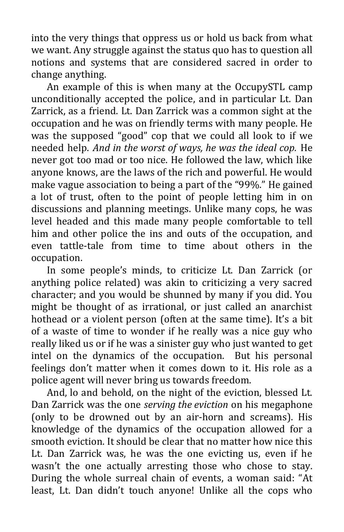into the very things that oppress us or hold us back from what we want. Any struggle against the status quo has to question all notions and systems that are considered sacred in order to change anything.

An example of this is when many at the OccupySTL camp unconditionally accepted the police, and in particular Lt. Dan Zarrick, as a friend. Lt. Dan Zarrick was a common sight at the occupation and he was on friendly terms with many people. He was the supposed "good" cop that we could all look to if we needed help. *And in the worst of ways, he was the ideal cop.* He never got too mad or too nice. He followed the law, which like anyone knows, are the laws of the rich and powerful. He would make vague association to being a part of the "99%." He gained a lot of trust, often to the point of people letting him in on discussions and planning meetings. Unlike many cops, he was level headed and this made many people comfortable to tell him and other police the ins and outs of the occupation, and even tattle-tale from time to time about others in the occupation.

In some people's minds, to criticize Lt. Dan Zarrick (or anything police related) was akin to criticizing a very sacred character; and you would be shunned by many if you did. You might be thought of as irrational, or just called an anarchist hothead or a violent person (often at the same time). It's a bit of a waste of time to wonder if he really was a nice guy who really liked us or if he was a sinister guy who just wanted to get intel on the dynamics of the occupation. But his personal feelings don't matter when it comes down to it. His role as a police agent will never bring us towards freedom.

And, lo and behold, on the night of the eviction, blessed Lt. Dan Zarrick was the one *serving the eviction* on his megaphone (only to be drowned out by an air-horn and screams). His knowledge of the dynamics of the occupation allowed for a smooth eviction. It should be clear that no matter how nice this Lt. Dan Zarrick was, he was the one evicting us, even if he wasn't the one actually arresting those who chose to stay. During the whole surreal chain of events, a woman said: "At least, Lt. Dan didn't touch anyone! Unlike all the cops who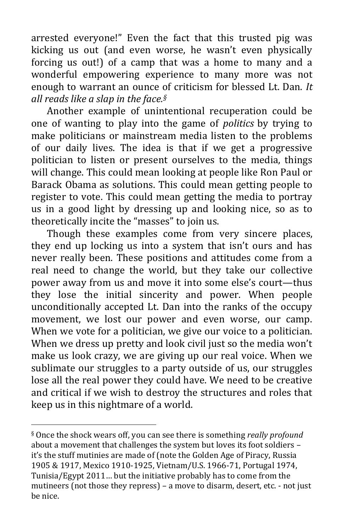arrested everyone!" Even the fact that this trusted pig was kicking us out (and even worse, he wasn't even physically forcing us out!) of a camp that was a home to many and a wonderful empowering experience to many more was not enough to warrant an ounce of criticism for blessed Lt. Dan. *It all reads like a slap in the face.§*

Another example of unintentional recuperation could be one of wanting to play into the game of *politics* by trying to make politicians or mainstream media listen to the problems of our daily lives. The idea is that if we get a progressive politician to listen or present ourselves to the media, things will change. This could mean looking at people like Ron Paul or Barack Obama as solutions. This could mean getting people to register to vote. This could mean getting the media to portray us in a good light by dressing up and looking nice, so as to theoretically incite the "masses" to join us.

Though these examples come from very sincere places, they end up locking us into a system that isn't ours and has never really been. These positions and attitudes come from a real need to change the world, but they take our collective power away from us and move it into some else's court—thus they lose the initial sincerity and power. When people unconditionally accepted Lt. Dan into the ranks of the occupy movement, we lost our power and even worse, our camp. When we vote for a politician, we give our voice to a politician. When we dress up pretty and look civil just so the media won't make us look crazy, we are giving up our real voice. When we sublimate our struggles to a party outside of us, our struggles lose all the real power they could have. We need to be creative and critical if we wish to destroy the structures and roles that keep us in this nightmare of a world.

 $\overline{a}$ 

<sup>§</sup> Once the shock wears off, you can see there is something *really profound* about a movement that challenges the system but loves its foot soldiers – it's the stuff mutinies are made of (note the Golden Age of Piracy, Russia 1905 & 1917, Mexico 1910-1925, Vietnam/U.S. 1966-71, Portugal 1974, Tunisia/Egypt 2011… but the initiative probably has to come from the mutineers (not those they repress) – a move to disarm, desert, etc. - not just be nice.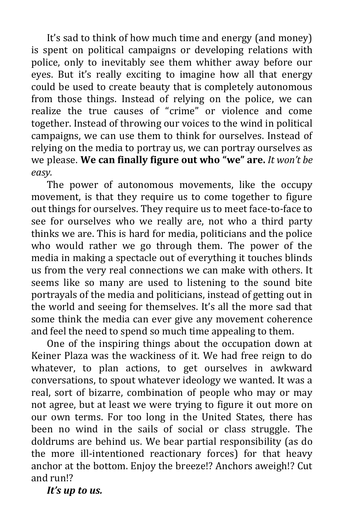It's sad to think of how much time and energy (and money) is spent on political campaigns or developing relations with police, only to inevitably see them whither away before our eyes. But it's really exciting to imagine how all that energy could be used to create beauty that is completely autonomous from those things. Instead of relying on the police, we can realize the true causes of "crime" or violence and come together. Instead of throwing our voices to the wind in political campaigns, we can use them to think for ourselves. Instead of relying on the media to portray us, we can portray ourselves as we please. **We can finally figure out who "we" are.** *It won't be easy.*

The power of autonomous movements, like the occupy movement, is that they require us to come together to figure out things for ourselves. They require us to meet face-to-face to see for ourselves who we really are, not who a third party thinks we are. This is hard for media, politicians and the police who would rather we go through them. The power of the media in making a spectacle out of everything it touches blinds us from the very real connections we can make with others. It seems like so many are used to listening to the sound bite portrayals of the media and politicians, instead of getting out in the world and seeing for themselves. It's all the more sad that some think the media can ever give any movement coherence and feel the need to spend so much time appealing to them.

One of the inspiring things about the occupation down at Keiner Plaza was the wackiness of it. We had free reign to do whatever, to plan actions, to get ourselves in awkward conversations, to spout whatever ideology we wanted. It was a real, sort of bizarre, combination of people who may or may not agree, but at least we were trying to figure it out more on our own terms. For too long in the United States, there has been no wind in the sails of social or class struggle. The doldrums are behind us. We bear partial responsibility (as do the more ill-intentioned reactionary forces) for that heavy anchor at the bottom. Enjoy the breeze!? Anchors aweigh!? Cut and run!?

*It's up to us.*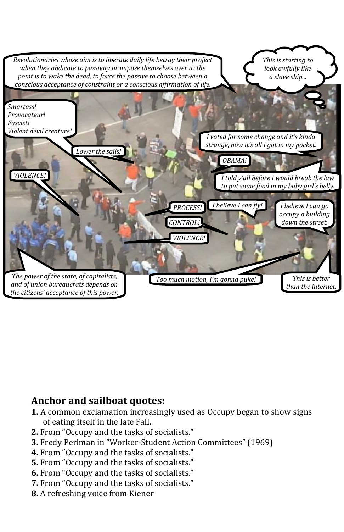

# **Anchor and sailboat quotes:**

- **1.** A common exclamation increasingly used as Occupy began to show signs of eating itself in the late Fall.
- **2.** From "Occupy and the tasks of socialists."
- **3.** Fredy Perlman in "Worker-Student Action Committees" (1969)
- **4.** From "Occupy and the tasks of socialists."
- **5.** From "Occupy and the tasks of socialists."
- **6.** From "Occupy and the tasks of socialists."
- **7.** From "Occupy and the tasks of socialists."
- **8.** A refreshing voice from Kiener